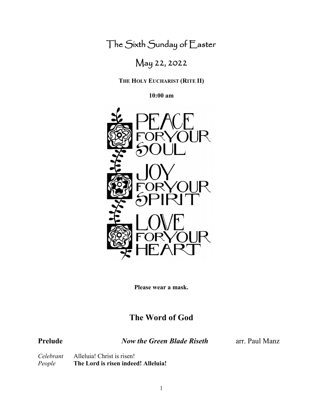The Sixth Sunday of Easter

# May 22, 2022

**THE HOLY EUCHARIST (RITE II)**

**10:00 am**



**Please wear a mask.**

# **The Word of God**

**Prelude** *Now the Green Blade Riseth* arr. Paul Manz

*Celebrant* Alleluia! Christ is risen!<br>*People* **The Lord is risen indee** *People* **The Lord is risen indeed! Alleluia!**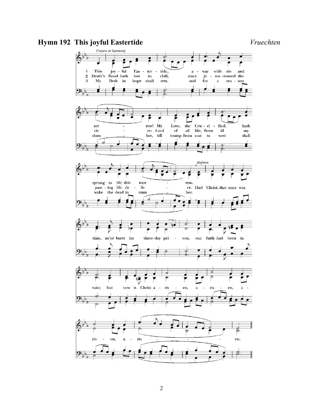# **Hymn 192 This joyful Eastertide** *Vruechten*

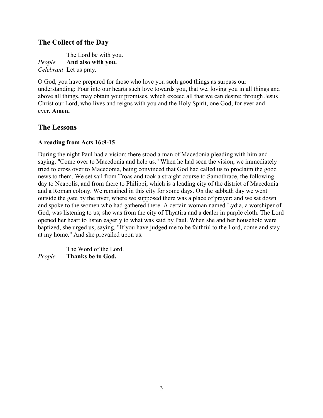## **The Collect of the Day**

The Lord be with you. *People* **And also with you.** *Celebrant* Let us pray.

O God, you have prepared for those who love you such good things as surpass our understanding: Pour into our hearts such love towards you, that we, loving you in all things and above all things, may obtain your promises, which exceed all that we can desire; through Jesus Christ our Lord, who lives and reigns with you and the Holy Spirit, one God, for ever and ever. **Amen.**

### **The Lessons**

#### **A reading from Acts 16:9-15**

During the night Paul had a vision: there stood a man of Macedonia pleading with him and saying, "Come over to Macedonia and help us." When he had seen the vision, we immediately tried to cross over to Macedonia, being convinced that God had called us to proclaim the good news to them. We set sail from Troas and took a straight course to Samothrace, the following day to Neapolis, and from there to Philippi, which is a leading city of the district of Macedonia and a Roman colony. We remained in this city for some days. On the sabbath day we went outside the gate by the river, where we supposed there was a place of prayer; and we sat down and spoke to the women who had gathered there. A certain woman named Lydia, a worshiper of God, was listening to us; she was from the city of Thyatira and a dealer in purple cloth. The Lord opened her heart to listen eagerly to what was said by Paul. When she and her household were baptized, she urged us, saying, "If you have judged me to be faithful to the Lord, come and stay at my home." And she prevailed upon us.

 The Word of the Lord. *People* **Thanks be to God.**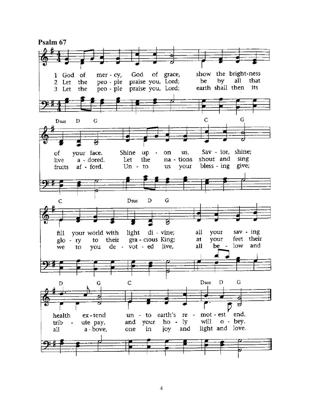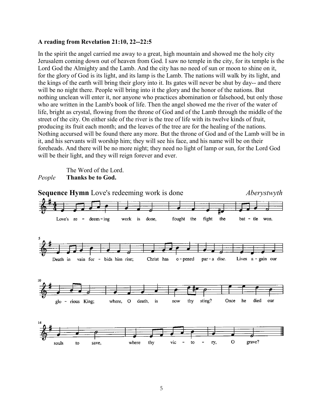#### **A reading from Revelation 21:10, 22--22:5**

In the spirit the angel carried me away to a great, high mountain and showed me the holy city Jerusalem coming down out of heaven from God. I saw no temple in the city, for its temple is the Lord God the Almighty and the Lamb. And the city has no need of sun or moon to shine on it, for the glory of God is its light, and its lamp is the Lamb. The nations will walk by its light, and the kings of the earth will bring their glory into it. Its gates will never be shut by day-- and there will be no night there. People will bring into it the glory and the honor of the nations. But nothing unclean will enter it, nor anyone who practices abomination or falsehood, but only those who are written in the Lamb's book of life. Then the angel showed me the river of the water of life, bright as crystal, flowing from the throne of God and of the Lamb through the middle of the street of the city. On either side of the river is the tree of life with its twelve kinds of fruit, producing its fruit each month; and the leaves of the tree are for the healing of the nations. Nothing accursed will be found there any more. But the throne of God and of the Lamb will be in it, and his servants will worship him; they will see his face, and his name will be on their foreheads. And there will be no more night; they need no light of lamp or sun, for the Lord God will be their light, and they will reign forever and ever.

 The Word of the Lord. *People* **Thanks be to God.**

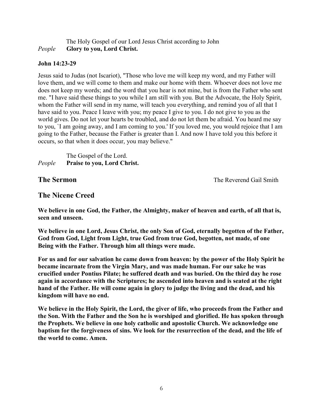#### The Holy Gospel of our Lord Jesus Christ according to John *People* **Glory to you, Lord Christ.**

#### **John 14:23-29**

Jesus said to Judas (not Iscariot), "Those who love me will keep my word, and my Father will love them, and we will come to them and make our home with them. Whoever does not love me does not keep my words; and the word that you hear is not mine, but is from the Father who sent me. "I have said these things to you while I am still with you. But the Advocate, the Holy Spirit, whom the Father will send in my name, will teach you everything, and remind you of all that I have said to you. Peace I leave with you; my peace I give to you. I do not give to you as the world gives. Do not let your hearts be troubled, and do not let them be afraid. You heard me say to you, `I am going away, and I am coming to you.' If you loved me, you would rejoice that I am going to the Father, because the Father is greater than I. And now I have told you this before it occurs, so that when it does occur, you may believe."

The Gospel of the Lord. *People* **Praise to you, Lord Christ.**

**The Sermon The Sermon The Reverend Gail Smith** 

### **The Nicene Creed**

**We believe in one God, the Father, the Almighty, maker of heaven and earth, of all that is, seen and unseen.**

**We believe in one Lord, Jesus Christ, the only Son of God, eternally begotten of the Father, God from God, Light from Light, true God from true God, begotten, not made, of one Being with the Father. Through him all things were made.** 

**For us and for our salvation he came down from heaven: by the power of the Holy Spirit he became incarnate from the Virgin Mary, and was made human. For our sake he was crucified under Pontius Pilate; he suffered death and was buried. On the third day he rose again in accordance with the Scriptures; he ascended into heaven and is seated at the right hand of the Father. He will come again in glory to judge the living and the dead, and his kingdom will have no end.**

**We believe in the Holy Spirit, the Lord, the giver of life, who proceeds from the Father and the Son. With the Father and the Son he is worshiped and glorified. He has spoken through the Prophets. We believe in one holy catholic and apostolic Church. We acknowledge one baptism for the forgiveness of sins. We look for the resurrection of the dead, and the life of the world to come. Amen.**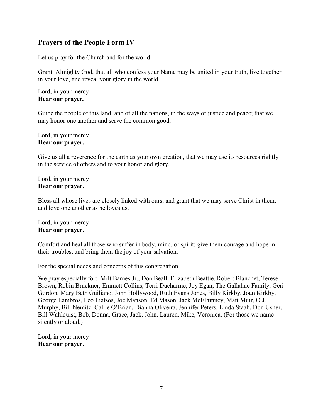# **Prayers of the People Form IV**

Let us pray for the Church and for the world.

Grant, Almighty God, that all who confess your Name may be united in your truth, live together in your love, and reveal your glory in the world.

Lord, in your mercy **Hear our prayer***.*

Guide the people of this land, and of all the nations, in the ways of justice and peace; that we may honor one another and serve the common good.

Lord, in your mercy **Hear our prayer.**

Give us all a reverence for the earth as your own creation, that we may use its resources rightly in the service of others and to your honor and glory.

Lord, in your mercy **Hear our prayer.**

Bless all whose lives are closely linked with ours, and grant that we may serve Christ in them, and love one another as he loves us.

Lord, in your mercy **Hear our prayer.**

Comfort and heal all those who suffer in body, mind, or spirit; give them courage and hope in their troubles, and bring them the joy of your salvation.

For the special needs and concerns of this congregation.

We pray especially for:Milt Barnes Jr., Don Beall, Elizabeth Beattie, Robert Blanchet, Terese Brown, Robin Bruckner, Emmett Collins, Terri Ducharme, Joy Egan, The Gallahue Family, Geri Gordon, Mary Beth Guiliano, John Hollywood, Ruth Evans Jones, Billy Kirkby, Joan Kirkby, George Lambros, Leo Liatsos, Joe Manson, Ed Mason, Jack McElhinney, Matt Muir, O.J. Murphy, Bill Nemitz, Callie O'Brian, Dianna Oliveira, Jennifer Peters, Linda Staab, Don Usher, Bill Wahlquist, Bob, Donna, Grace, Jack, John, Lauren, Mike, Veronica. (For those we name silently or aloud.)

Lord, in your mercy **Hear our prayer.**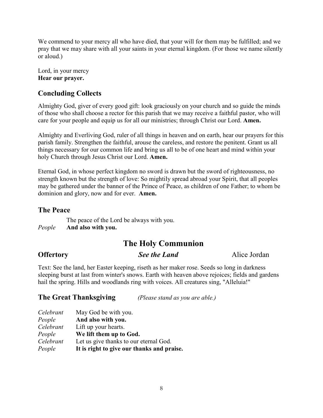We commend to your mercy all who have died, that your will for them may be fulfilled; and we pray that we may share with all your saints in your eternal kingdom. (For those we name silently or aloud.)

Lord, in your mercy **Hear our prayer.**

# **Concluding Collects**

Almighty God, giver of every good gift: look graciously on your church and so guide the minds of those who shall choose a rector for this parish that we may receive a faithful pastor, who will care for your people and equip us for all our ministries; through Christ our Lord. **Amen.**

Almighty and Everliving God, ruler of all things in heaven and on earth, hear our prayers for this parish family. Strengthen the faithful, arouse the careless, and restore the penitent. Grant us all things necessary for our common life and bring us all to be of one heart and mind within your holy Church through Jesus Christ our Lord. **Amen.**

Eternal God, in whose perfect kingdom no sword is drawn but the sword of righteousness, no strength known but the strength of love: So mightily spread abroad your Spirit, that all peoples may be gathered under the banner of the Prince of Peace, as children of one Father; to whom be dominion and glory, now and for ever. **Amen.**

#### **The Peace**

The peace of the Lord be always with you. *People* **And also with you.**

# **The Holy Communion**

**Offertory** *See the Land* Alice Jordan

Text: See the land, her Easter keeping, riseth as her maker rose. Seeds so long in darkness sleeping burst at last from winter's snows. Earth with heaven above rejoices; fields and gardens hail the spring. Hills and woodlands ring with voices. All creatures sing, "Alleluia!"

# **The Great Thanksgiving** *(Please stand as you are able.)*

| Celebrant | May God be with you.                       |
|-----------|--------------------------------------------|
| People    | And also with you.                         |
| Celebrant | Lift up your hearts.                       |
| People    | We lift them up to God.                    |
| Celebrant | Let us give thanks to our eternal God.     |
| People    | It is right to give our thanks and praise. |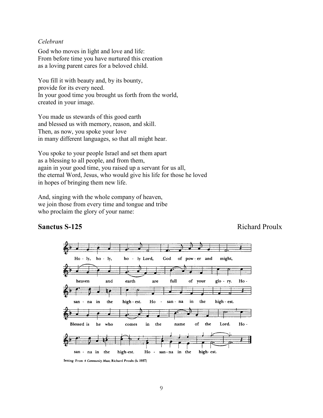#### *Celebrant*

God who moves in light and love and life: From before time you have nurtured this creation as a loving parent cares for a beloved child.

You fill it with beauty and, by its bounty, provide for its every need. In your good time you brought us forth from the world, created in your image.

You made us stewards of this good earth and blessed us with memory, reason, and skill. Then, as now, you spoke your love in many different languages, so that all might hear.

You spoke to your people Israel and set them apart as a blessing to all people, and from them, again in your good time, you raised up a servant for us all, the eternal Word, Jesus, who would give his life for those he loved in hopes of bringing them new life.

And, singing with the whole company of heaven, we join those from every time and tongue and tribe who proclaim the glory of your name:

#### **Sanctus S-125** Richard Proulx



Setting: From A Community Mass; Richard Proulx (b. 1937)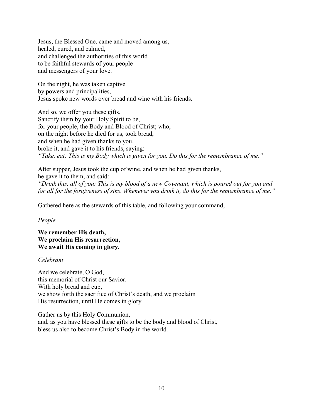Jesus, the Blessed One, came and moved among us, healed, cured, and calmed, and challenged the authorities of this world to be faithful stewards of your people and messengers of your love.

On the night, he was taken captive by powers and principalities, Jesus spoke new words over bread and wine with his friends.

And so, we offer you these gifts. Sanctify them by your Holy Spirit to be, for your people, the Body and Blood of Christ; who, on the night before he died for us, took bread, and when he had given thanks to you, broke it, and gave it to his friends, saying: *"Take, eat: This is my Body which is given for you. Do this for the remembrance of me."*

After supper, Jesus took the cup of wine, and when he had given thanks, he gave it to them, and said: *"Drink this, all of you: This is my blood of a new Covenant, which is poured out for you and for all for the forgiveness of sins. Whenever you drink it, do this for the remembrance of me."* 

Gathered here as the stewards of this table, and following your command,

*People*

#### **We remember His death, We proclaim His resurrection, We await His coming in glory.**

#### *Celebrant*

And we celebrate, O God, this memorial of Christ our Savior. With holy bread and cup, we show forth the sacrifice of Christ's death, and we proclaim His resurrection, until He comes in glory.

Gather us by this Holy Communion, and, as you have blessed these gifts to be the body and blood of Christ, bless us also to become Christ's Body in the world.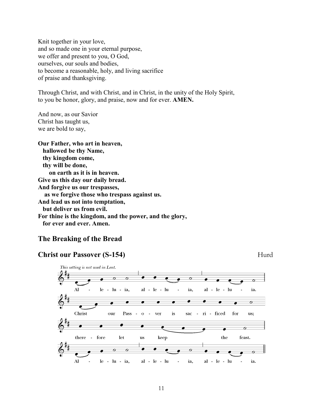Knit together in your love, and so made one in your eternal purpose, we offer and present to you, O God, ourselves, our souls and bodies, to become a reasonable, holy, and living sacrifice of praise and thanksgiving.

Through Christ, and with Christ, and in Christ, in the unity of the Holy Spirit, to you be honor, glory, and praise, now and for ever. **AMEN.** 

And now, as our Savior Christ has taught us, we are bold to say,

**Our Father, who art in heaven, hallowed be thy Name, thy kingdom come, thy will be done, on earth as it is in heaven. Give us this day our daily bread. And forgive us our trespasses, as we forgive those who trespass against us. And lead us not into temptation, but deliver us from evil. For thine is the kingdom, and the power, and the glory, for ever and ever. Amen.** 

# **The Breaking of the Bread**

# **Christ our Passover (S-154)** Hurd

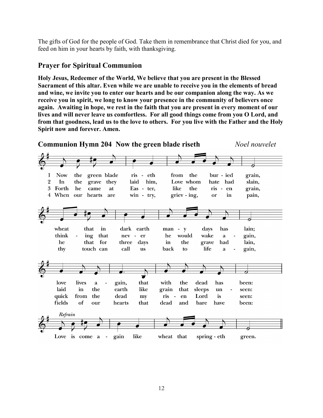The gifts of God for the people of God. Take them in remembrance that Christ died for you, and feed on him in your hearts by faith, with thanksgiving.

#### **Prayer for Spiritual Communion**

**Holy Jesus, Redeemer of the World, We believe that you are present in the Blessed Sacrament of this altar. Even while we are unable to receive you in the elements of bread and wine, we invite you to enter our hearts and be our companion along the way. As we receive you in spirit, we long to know your presence in the community of believers once again. Awaiting in hope, we rest in the faith that you are present in every moment of our lives and will never leave us comfortless. For all good things come from you O Lord, and from that goodness, lead us to the love to others. For you live with the Father and the Holy Spirit now and forever. Amen.**

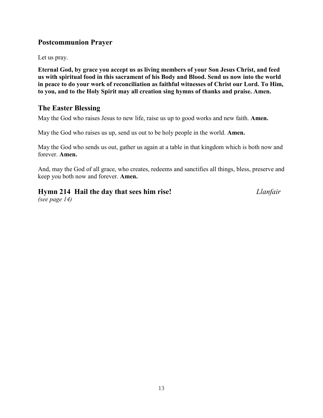# **Postcommunion Prayer**

Let us pray.

**Eternal God, by grace you accept us as living members of your Son Jesus Christ, and feed us with spiritual food in this sacrament of his Body and Blood. Send us now into the world in peace to do your work of reconciliation as faithful witnesses of Christ our Lord. To Him, to you, and to the Holy Spirit may all creation sing hymns of thanks and praise. Amen.**

# **The Easter Blessing**

May the God who raises Jesus to new life, raise us up to good works and new faith. **Amen.** 

May the God who raises us up, send us out to be holy people in the world. **Amen.** 

May the God who sends us out, gather us again at a table in that kingdom which is both now and forever. **Amen.** 

And, may the God of all grace, who creates, redeems and sanctifies all things, bless, preserve and keep you both now and forever. **Amen.**

# **Hymn 214 Hail the day that sees him rise!** *Llanfair*

*(see page 14)*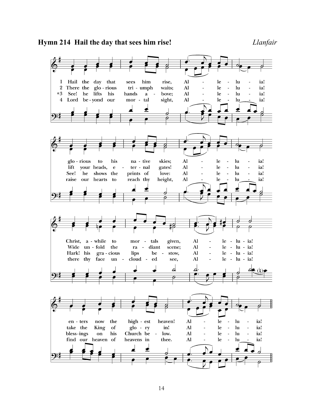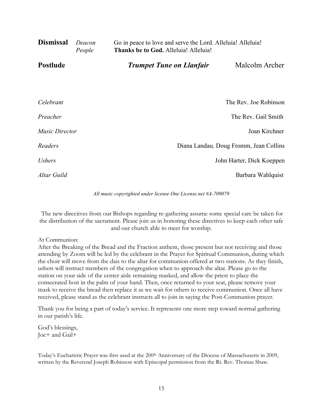| <b>Dismissal</b>      | Deacon<br>People | Go in peace to love and serve the Lord. Alleluia! Alleluia!<br>Thanks be to God. Alleluia! Alleluia! |                                        |  |
|-----------------------|------------------|------------------------------------------------------------------------------------------------------|----------------------------------------|--|
| <b>Postlude</b>       |                  | <b>Trumpet Tune on Llanfair</b>                                                                      | Malcolm Archer                         |  |
|                       |                  |                                                                                                      |                                        |  |
| Celebrant             |                  |                                                                                                      | The Rev. Joe Robinson                  |  |
| Preacher              |                  |                                                                                                      | The Rev. Gail Smith                    |  |
| <b>Music Director</b> |                  |                                                                                                      | Joan Kirchner                          |  |
| Readers               |                  |                                                                                                      | Diana Landau, Doug Fromm, Jean Collins |  |
| <i>Ushers</i>         |                  |                                                                                                      | John Harter, Dick Koeppen              |  |
| Altar Guild           |                  |                                                                                                      | Barbara Wahlquist                      |  |

*All music copyrighted under license One License.net #A-709079*

The new directives from our Bishops regarding re-gathering assume some special care be taken for the distribution of the sacrament. Please join us in honoring these directives to keep each other safe and our church able to meet for worship.

#### At Communion:

After the Breaking of the Bread and the Fraction anthem, those present but not receiving and those attending by Zoom will be led by the celebrant in the Prayer for Spiritual Communion, during which the choir will move from the dais to the altar for communion offered at two stations. As they finish, ushers will instruct members of the congregation when to approach the altar. Please go to the station on your side of the center aisle remaining masked, and allow the priest to place the consecrated host in the palm of your hand. Then, once returned to your seat, please remove your mask to receive the bread then replace it as we wait for others to receive communion. Once all have received, please stand as the celebrant instructs all to join in saying the Post-Communion prayer.

Thank you for being a part of today's service. It represents one more step toward normal gathering in our parish's life.

God's blessings, Joe+ and Gail+

Today's Eucharistic Prayer was first used at the 200<sup>th</sup> Anniversary of the Diocese of Massachusetts in 2009, written by the Reverend Joseph Robinson with Episcopal permission from the Rt. Rev. Thomas Shaw.